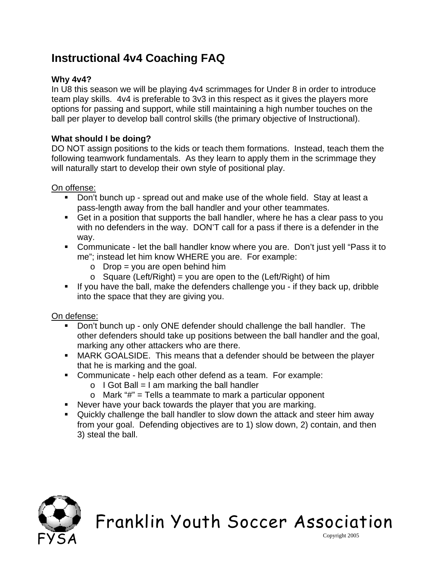## **Instructional 4v4 Coaching FAQ**

### **Why 4v4?**

In U8 this season we will be playing 4v4 scrimmages for Under 8 in order to introduce team play skills. 4v4 is preferable to 3v3 in this respect as it gives the players more options for passing and support, while still maintaining a high number touches on the ball per player to develop ball control skills (the primary objective of Instructional).

#### **What should I be doing?**

DO NOT assign positions to the kids or teach them formations. Instead, teach them the following teamwork fundamentals. As they learn to apply them in the scrimmage they will naturally start to develop their own style of positional play.

#### On offense:

- Don't bunch up spread out and make use of the whole field. Stay at least a pass-length away from the ball handler and your other teammates.
- Get in a position that supports the ball handler, where he has a clear pass to you with no defenders in the way. DON'T call for a pass if there is a defender in the way.
- Communicate let the ball handler know where you are. Don't just yell "Pass it to me"; instead let him know WHERE you are. For example:
	- $\circ$  Drop = you are open behind him
	- $\circ$  Square (Left/Right) = you are open to the (Left/Right) of him
- If you have the ball, make the defenders challenge you if they back up, dribble into the space that they are giving you.

#### On defense:

- Don't bunch up only ONE defender should challenge the ball handler. The other defenders should take up positions between the ball handler and the goal, marking any other attackers who are there.
- MARK GOALSIDE. This means that a defender should be between the player that he is marking and the goal.
- Communicate help each other defend as a team. For example:
	- $\circ$  I Got Ball = I am marking the ball handler
	- $\circ$  Mark "#" = Tells a teammate to mark a particular opponent
- Never have your back towards the player that you are marking.
- Quickly challenge the ball handler to slow down the attack and steer him away from your goal. Defending objectives are to 1) slow down, 2) contain, and then 3) steal the ball.



# Franklin Youth Soccer Association

Copyright 2005